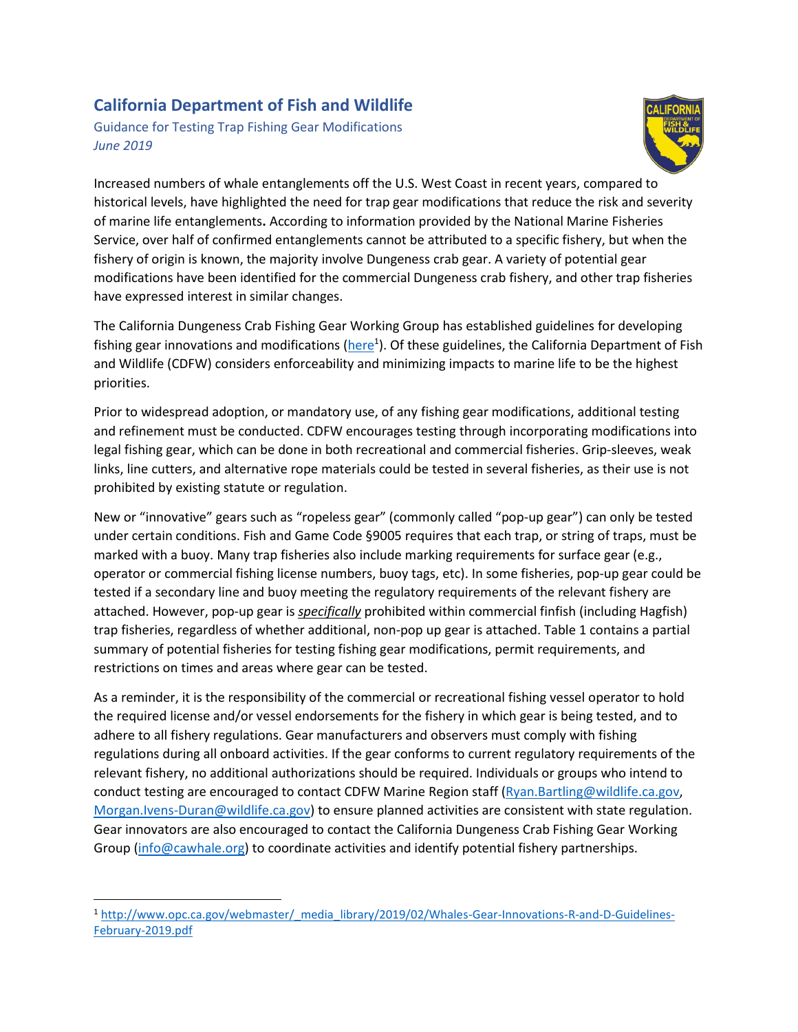## **California Department of Fish and Wildlife**

Guidance for Testing Trap Fishing Gear Modifications *June 2019*



Increased numbers of whale entanglements off the U.S. West Coast in recent years, compared to historical levels, have highlighted the need for trap gear modifications that reduce the risk and severity of marine life entanglements**.** According to information provided by the National Marine Fisheries Service, over half of confirmed entanglements cannot be attributed to a specific fishery, but when the fishery of origin is known, the majority involve Dungeness crab gear. A variety of potential gear modifications have been identified for the commercial Dungeness crab fishery, and other trap fisheries have expressed interest in similar changes.

The California Dungeness Crab Fishing Gear Working Group has established guidelines for developing fishing gear innovations and modifications (*here*<sup>1</sup>). Of these guidelines, the California Department of Fish and Wildlife (CDFW) considers enforceability and minimizing impacts to marine life to be the highest priorities.

Prior to widespread adoption, or mandatory use, of any fishing gear modifications, additional testing and refinement must be conducted. CDFW encourages testing through incorporating modifications into legal fishing gear, which can be done in both recreational and commercial fisheries. Grip-sleeves, weak links, line cutters, and alternative rope materials could be tested in several fisheries, as their use is not prohibited by existing statute or regulation.

New or "innovative" gears such as "ropeless gear" (commonly called "pop-up gear") can only be tested under certain conditions. Fish and Game Code §9005 requires that each trap, or string of traps, must be marked with a buoy. Many trap fisheries also include marking requirements for surface gear (e.g., operator or commercial fishing license numbers, buoy tags, etc). In some fisheries, pop-up gear could be tested if a secondary line and buoy meeting the regulatory requirements of the relevant fishery are attached. However, pop-up gear is *specifically* prohibited within commercial finfish (including Hagfish) trap fisheries, regardless of whether additional, non-pop up gear is attached. Table 1 contains a partial summary of potential fisheries for testing fishing gear modifications, permit requirements, and restrictions on times and areas where gear can be tested.

As a reminder, it is the responsibility of the commercial or recreational fishing vessel operator to hold the required license and/or vessel endorsements for the fishery in which gear is being tested, and to adhere to all fishery regulations. Gear manufacturers and observers must comply with fishing regulations during all onboard activities. If the gear conforms to current regulatory requirements of the relevant fishery, no additional authorizations should be required. Individuals or groups who intend to conduct testing are encouraged to contact CDFW Marine Region staff [\(Ryan.Bartling@wildlife.ca.gov,](mailto:Ryan.Bartling@wildlife.ca.gov) [Morgan.Ivens-Duran@wildlife.ca.gov\)](mailto:Morgan.Ivens-Duran@wildlife.ca.gov) to ensure planned activities are consistent with state regulation. Gear innovators are also encouraged to contact the California Dungeness Crab Fishing Gear Working Group [\(info@cawhale.org\)](mailto:info@cawhale.org) to coordinate activities and identify potential fishery partnerships.

 $\overline{\phantom{a}}$ 

<sup>1</sup> [http://www.opc.ca.gov/webmaster/\\_media\\_library/2019/02/Whales-Gear-Innovations-R-and-D-Guidelines-](http://www.opc.ca.gov/webmaster/_media_library/2019/02/Whales-Gear-Innovations-R-and-D-Guidelines-February-2019.pdf)[February-2019.pdf](http://www.opc.ca.gov/webmaster/_media_library/2019/02/Whales-Gear-Innovations-R-and-D-Guidelines-February-2019.pdf)